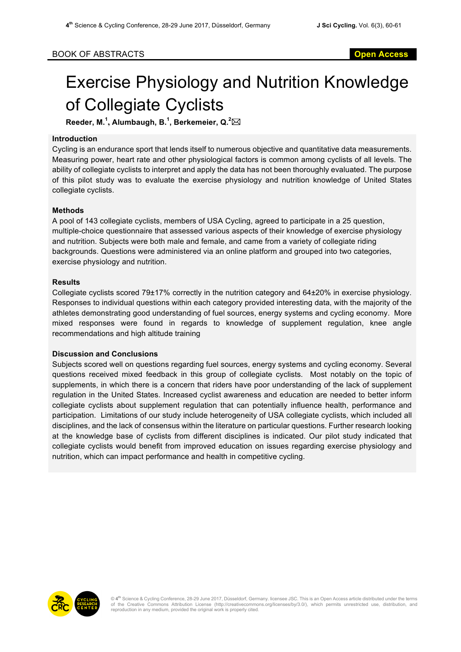# Exercise Physiology and Nutrition Knowledge of Collegiate Cyclists

**Reeder, M. 1 , Alumbaugh, B.<sup>1</sup> , Berkemeier, Q.<sup>2</sup>** \*

## **Introduction**

Cycling is an endurance sport that lends itself to numerous objective and quantitative data measurements. Measuring power, heart rate and other physiological factors is common among cyclists of all levels. The ability of collegiate cyclists to interpret and apply the data has not been thoroughly evaluated. The purpose of this pilot study was to evaluate the exercise physiology and nutrition knowledge of United States collegiate cyclists.

#### **Methods**

A pool of 143 collegiate cyclists, members of USA Cycling, agreed to participate in a 25 question, multiple-choice questionnaire that assessed various aspects of their knowledge of exercise physiology and nutrition. Subjects were both male and female, and came from a variety of collegiate riding backgrounds. Questions were administered via an online platform and grouped into two categories, exercise physiology and nutrition.

#### **Results**

Collegiate cyclists scored 79±17% correctly in the nutrition category and 64±20% in exercise physiology. Responses to individual questions within each category provided interesting data, with the majority of the athletes demonstrating good understanding of fuel sources, energy systems and cycling economy. More mixed responses were found in regards to knowledge of supplement regulation, knee angle recommendations and high altitude training

## **Discussion and Conclusions**

Subjects scored well on questions regarding fuel sources, energy systems and cycling economy. Several questions received mixed feedback in this group of collegiate cyclists. Most notably on the topic of supplements, in which there is a concern that riders have poor understanding of the lack of supplement regulation in the United States. Increased cyclist awareness and education are needed to better inform collegiate cyclists about supplement regulation that can potentially influence health, performance and participation. Limitations of our study include heterogeneity of USA collegiate cyclists, which included all disciplines, and the lack of consensus within the literature on particular questions. Further research looking at the knowledge base of cyclists from different disciplines is indicated. Our pilot study indicated that collegiate cyclists would benefit from improved education on issues regarding exercise physiology and nutrition, which can impact performance and health in competitive cycling.